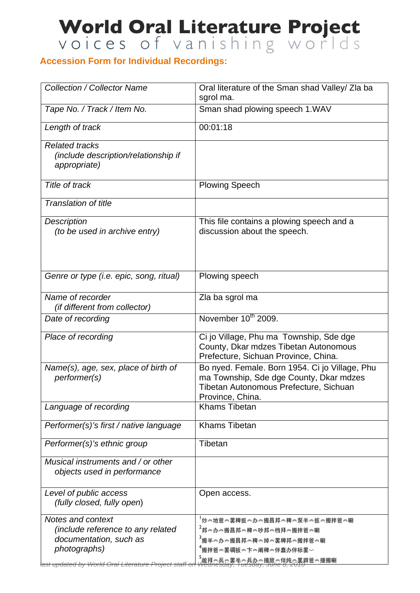## World Oral Literature Project

## **Accession Form for Individual Recordings:**

| <b>Collection / Collector Name</b>                                                               | Oral literature of the Sman shad Valley/ Zla ba<br>sgrol ma.                                                                                            |
|--------------------------------------------------------------------------------------------------|---------------------------------------------------------------------------------------------------------------------------------------------------------|
| Tape No. / Track / Item No.                                                                      | Sman shad plowing speech 1.WAV                                                                                                                          |
| Length of track                                                                                  | 00:01:18                                                                                                                                                |
| <b>Related tracks</b><br>(include description/relationship if<br>appropriate)                    |                                                                                                                                                         |
| Title of track                                                                                   | <b>Plowing Speech</b>                                                                                                                                   |
| <b>Translation of title</b>                                                                      |                                                                                                                                                         |
| Description<br>(to be used in archive entry)                                                     | This file contains a plowing speech and a<br>discussion about the speech.                                                                               |
| Genre or type (i.e. epic, song, ritual)                                                          | Plowing speech                                                                                                                                          |
| Name of recorder<br><i>(if different from collector)</i>                                         | Zla ba sgrol ma                                                                                                                                         |
| Date of recording                                                                                | November 10 <sup>th</sup> 2009.                                                                                                                         |
| Place of recording                                                                               | Ci jo Village, Phu ma Township, Sde dge<br>County, Dkar mdzes Tibetan Autonomous<br>Prefecture, Sichuan Province, China.                                |
| Name(s), age, sex, place of birth of<br>performer(s)                                             | Bo nyed. Female. Born 1954. Ci jo Village, Phu<br>ma Township, Sde dge County, Dkar mdzes<br>Tibetan Autonomous Prefecture, Sichuan<br>Province, China. |
| Language of recording                                                                            | <b>Khams Tibetan</b>                                                                                                                                    |
| Performer(s)'s first / native language                                                           | <b>Khams Tibetan</b>                                                                                                                                    |
| Performer(s)'s ethnic group                                                                      | Tibetan                                                                                                                                                 |
| Musical instruments and / or other<br>objects used in performance                                |                                                                                                                                                         |
| Level of public access<br>(fully closed, fully open)                                             | Open access.                                                                                                                                            |
| Notes and context<br>(include reference to any related<br>documentation, such as<br>photographs) | 」<br>'炒≪地爸≪罢稗扳≪办≪搬昌邦≪稗≪泵半≪扳≪搬拌爸≪唰<br><sup>2</sup> 邦≪办≪搬昌邦≪稗≪吵邦≪档拜≪搬拌爸≪唰<br><sup>3</sup> 搬半≪办≪搬昌邦≪稗≪绰≪罢稗邦≪搬拌爸≪唰<br>。<br>"搬拌爸≪罢碉扳≪卞≪阐稗≪伴蠢办伴标罢〜            |